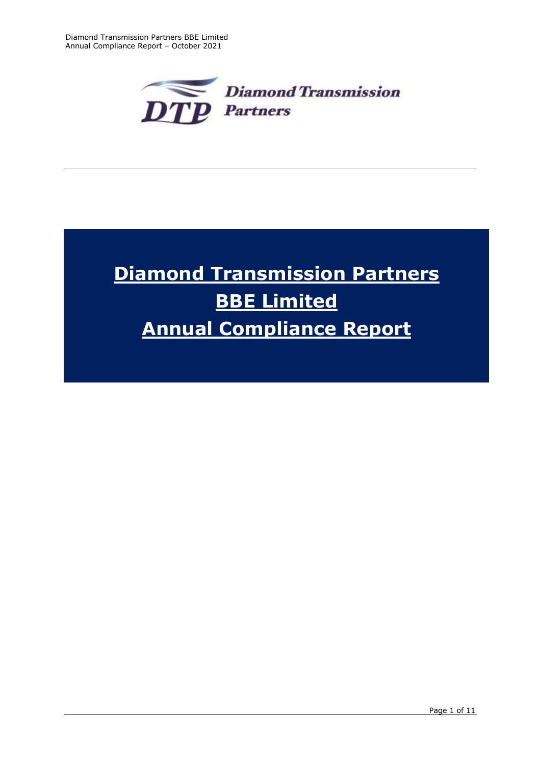

# **Diamond Transmission Partners BBE Limited Annual Compliance Report**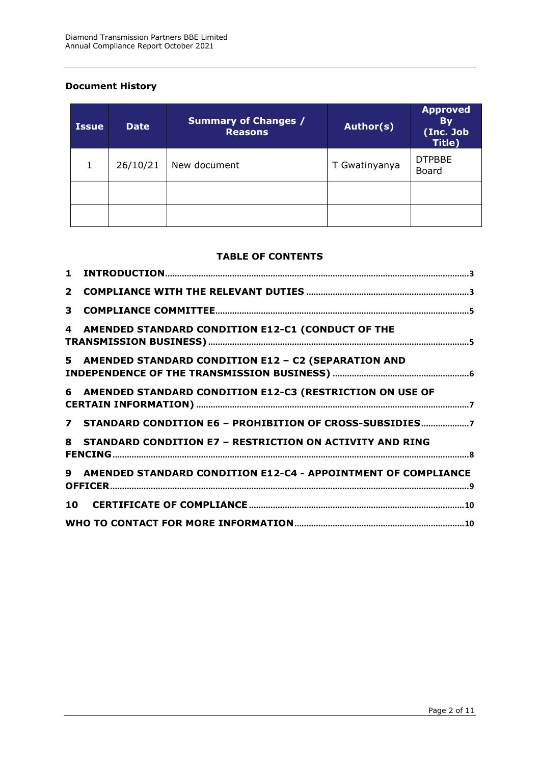# **Document History**

| <b>Issue</b> | <b>Date</b> | <b>Summary of Changes /</b><br><b>Reasons</b> | Author(s)     | <b>Approved</b><br><b>By</b><br>(Inc. Job<br>Title) |
|--------------|-------------|-----------------------------------------------|---------------|-----------------------------------------------------|
| 1            | 26/10/21    | New document                                  | T Gwatinyanya | <b>DTPBBE</b><br><b>Board</b>                       |
|              |             |                                               |               |                                                     |
|              |             |                                               |               |                                                     |

## **TABLE OF CONTENTS**

| 2 <sup>1</sup> |                                                                 |  |
|----------------|-----------------------------------------------------------------|--|
| 3              |                                                                 |  |
| 4              | AMENDED STANDARD CONDITION E12-C1 (CONDUCT OF THE               |  |
|                | 5 AMENDED STANDARD CONDITION E12 - C2 (SEPARATION AND           |  |
|                | 6 AMENDED STANDARD CONDITION E12-C3 (RESTRICTION ON USE OF      |  |
|                | 7 STANDARD CONDITION E6 - PROHIBITION OF CROSS-SUBSIDIES7       |  |
|                | 8 STANDARD CONDITION E7 - RESTRICTION ON ACTIVITY AND RING      |  |
|                | 9 AMENDED STANDARD CONDITION E12-C4 - APPOINTMENT OF COMPLIANCE |  |
|                |                                                                 |  |
|                |                                                                 |  |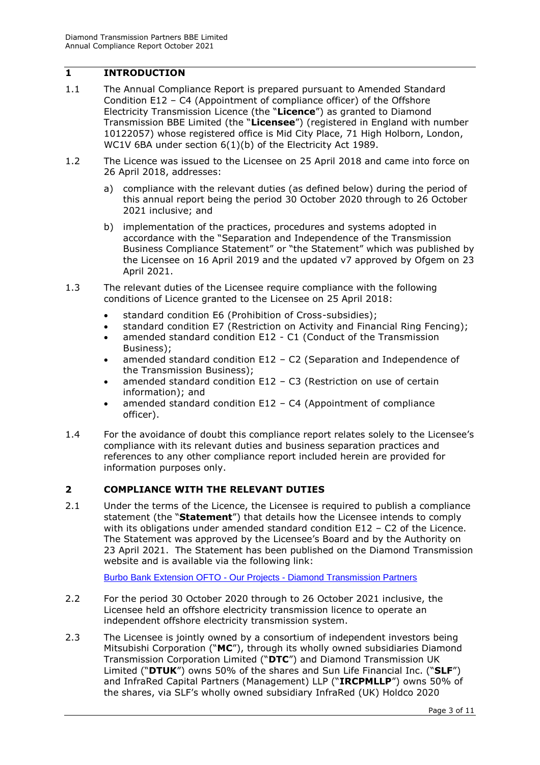# <span id="page-2-0"></span>**1 INTRODUCTION**

- 1.1 The Annual Compliance Report is prepared pursuant to Amended Standard Condition E12 – C4 (Appointment of compliance officer) of the Offshore Electricity Transmission Licence (the "**Licence**") as granted to Diamond Transmission BBE Limited (the "**Licensee**") (registered in England with number 10122057) whose registered office is Mid City Place, 71 High Holborn, London, WC1V 6BA under section 6(1)(b) of the Electricity Act 1989.
- 1.2 The Licence was issued to the Licensee on 25 April 2018 and came into force on 26 April 2018, addresses:
	- a) compliance with the relevant duties (as defined below) during the period of this annual report being the period 30 October 2020 through to 26 October 2021 inclusive; and
	- b) implementation of the practices, procedures and systems adopted in accordance with the "Separation and Independence of the Transmission Business Compliance Statement" or "the Statement" which was published by the Licensee on 16 April 2019 and the updated v7 approved by Ofgem on 23 April 2021.
- 1.3 The relevant duties of the Licensee require compliance with the following conditions of Licence granted to the Licensee on 25 April 2018:
	- standard condition E6 (Prohibition of Cross-subsidies);
	- standard condition E7 (Restriction on Activity and Financial Ring Fencing);
	- amended standard condition E12 C1 (Conduct of the Transmission Business);
	- amended standard condition E12 C2 (Separation and Independence of the Transmission Business);
	- amended standard condition E12 C3 (Restriction on use of certain information); and
	- amended standard condition E12 C4 (Appointment of compliance officer).
- 1.4 For the avoidance of doubt this compliance report relates solely to the Licensee's compliance with its relevant duties and business separation practices and references to any other compliance report included herein are provided for information purposes only.

# <span id="page-2-1"></span>**2 COMPLIANCE WITH THE RELEVANT DUTIES**

2.1 Under the terms of the Licence, the Licensee is required to publish a compliance statement (the "**Statement**") that details how the Licensee intends to comply with its obligations under amended standard condition E12 – C2 of the Licence. The Statement was approved by the Licensee's Board and by the Authority on 23 April 2021. The Statement has been published on the Diamond Transmission website and is available via the following link:

Burbo Bank Extension OFTO - Our Projects - [Diamond Transmission Partners](https://www.diamondtransmissionpartners.com/our-projects/burbo-bank-extension-ofto)

- 2.2 For the period 30 October 2020 through to 26 October 2021 inclusive, the Licensee held an offshore electricity transmission licence to operate an independent offshore electricity transmission system.
- 2.3 The Licensee is jointly owned by a consortium of independent investors being Mitsubishi Corporation ("**MC**"), through its wholly owned subsidiaries Diamond Transmission Corporation Limited ("**DTC**") and Diamond Transmission UK Limited ("**DTUK**") owns 50% of the shares and Sun Life Financial Inc. ("**SLF**") and InfraRed Capital Partners (Management) LLP ("**IRCPMLLP**") owns 50% of the shares, via SLF's wholly owned subsidiary InfraRed (UK) Holdco 2020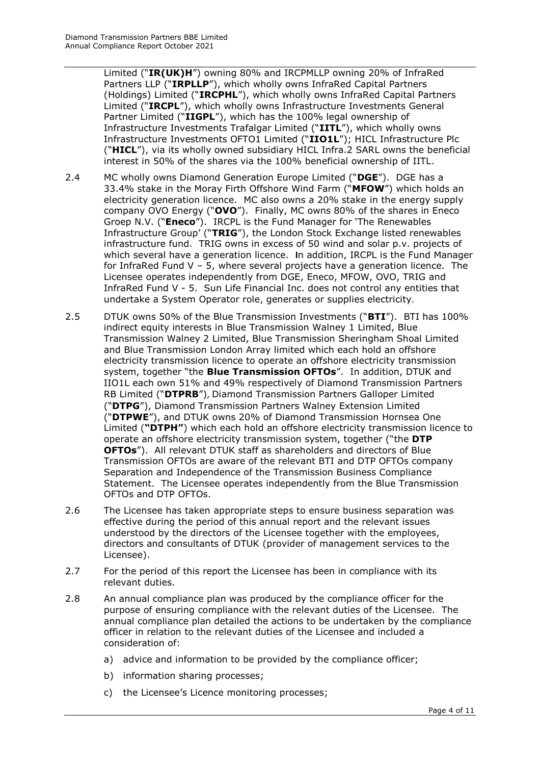Limited ("**IR(UK)H**") owning 80% and IRCPMLLP owning 20% of InfraRed Partners LLP ("**IRPLLP**"), which wholly owns InfraRed Capital Partners (Holdings) Limited ("**IRCPHL**"), which wholly owns InfraRed Capital Partners Limited ("**IRCPL**"), which wholly owns Infrastructure Investments General Partner Limited ("**IIGPL**"), which has the 100% legal ownership of Infrastructure Investments Trafalgar Limited ("**IITL**"), which wholly owns Infrastructure Investments OFTO1 Limited ("**IIO1L**"); HICL Infrastructure Plc ("**HICL**"), via its wholly owned subsidiary HICL Infra.2 SARL owns the beneficial interest in 50% of the shares via the 100% beneficial ownership of IITL.

- 2.4 MC wholly owns Diamond Generation Europe Limited ("**DGE**"). DGE has a 33.4% stake in the Moray Firth Offshore Wind Farm ("**MFOW**") which holds an electricity generation licence. MC also owns a 20% stake in the energy supply company OVO Energy ("**OVO**"). Finally, MC owns 80% of the shares in Eneco Groep N.V. ("**Eneco**"). IRCPL is the Fund Manager for 'The Renewables Infrastructure Group' ("**TRIG**"), the London Stock Exchange listed renewables infrastructure fund. TRIG owns in excess of 50 wind and solar p.v. projects of which several have a generation licence. **I**n addition, IRCPL is the Fund Manager for InfraRed Fund V – 5, where several projects have a generation licence. The Licensee operates independently from DGE, Eneco, MFOW, OVO, TRIG and InfraRed Fund V - 5. Sun Life Financial Inc. does not control any entities that undertake a System Operator role, generates or supplies electricity.
- 2.5 DTUK owns 50% of the Blue Transmission Investments ("**BTI**"). BTI has 100% indirect equity interests in Blue Transmission Walney 1 Limited, Blue Transmission Walney 2 Limited, Blue Transmission Sheringham Shoal Limited and Blue Transmission London Array limited which each hold an offshore electricity transmission licence to operate an offshore electricity transmission system, together "the **Blue Transmission OFTOs**". In addition, DTUK and IIO1L each own 51% and 49% respectively of Diamond Transmission Partners RB Limited ("**DTPRB**"), Diamond Transmission Partners Galloper Limited ("**DTPG**"), Diamond Transmission Partners Walney Extension Limited ("**DTPWE**"), and DTUK owns 20% of Diamond Transmission Hornsea One Limited (**"DTPH"**) which each hold an offshore electricity transmission licence to operate an offshore electricity transmission system, together ("the **DTP OFTOs**"). All relevant DTUK staff as shareholders and directors of Blue Transmission OFTOs are aware of the relevant BTI and DTP OFTOs company Separation and Independence of the Transmission Business Compliance Statement. The Licensee operates independently from the Blue Transmission OFTOs and DTP OFTOs.
- 2.6 The Licensee has taken appropriate steps to ensure business separation was effective during the period of this annual report and the relevant issues understood by the directors of the Licensee together with the employees, directors and consultants of DTUK (provider of management services to the Licensee).
- 2.7 For the period of this report the Licensee has been in compliance with its relevant duties.
- 2.8 An annual compliance plan was produced by the compliance officer for the purpose of ensuring compliance with the relevant duties of the Licensee. The annual compliance plan detailed the actions to be undertaken by the compliance officer in relation to the relevant duties of the Licensee and included a consideration of:
	- a) advice and information to be provided by the compliance officer;
	- b) information sharing processes;
	- c) the Licensee's Licence monitoring processes;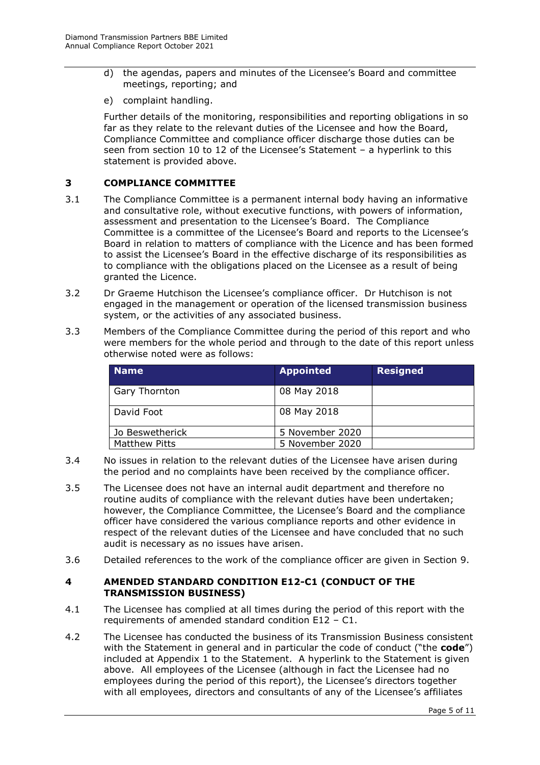- d) the agendas, papers and minutes of the Licensee's Board and committee meetings, reporting; and
- e) complaint handling.

Further details of the monitoring, responsibilities and reporting obligations in so far as they relate to the relevant duties of the Licensee and how the Board, Compliance Committee and compliance officer discharge those duties can be seen from section 10 to 12 of the Licensee's Statement – a hyperlink to this statement is provided above.

## <span id="page-4-0"></span>**3 COMPLIANCE COMMITTEE**

- 3.1 The Compliance Committee is a permanent internal body having an informative and consultative role, without executive functions, with powers of information, assessment and presentation to the Licensee's Board. The Compliance Committee is a committee of the Licensee's Board and reports to the Licensee's Board in relation to matters of compliance with the Licence and has been formed to assist the Licensee's Board in the effective discharge of its responsibilities as to compliance with the obligations placed on the Licensee as a result of being granted the Licence.
- 3.2 Dr Graeme Hutchison the Licensee's compliance officer. Dr Hutchison is not engaged in the management or operation of the licensed transmission business system, or the activities of any associated business.
- 3.3 Members of the Compliance Committee during the period of this report and who were members for the whole period and through to the date of this report unless otherwise noted were as follows:

| <b>Name</b>          | <b>Appointed</b> | <b>Resigned</b> |
|----------------------|------------------|-----------------|
| <b>Gary Thornton</b> | 08 May 2018      |                 |
| David Foot           | 08 May 2018      |                 |
| Jo Beswetherick      | 5 November 2020  |                 |
| Matthew Pitts        | 5 November 2020  |                 |

- 3.4 No issues in relation to the relevant duties of the Licensee have arisen during the period and no complaints have been received by the compliance officer.
- 3.5 The Licensee does not have an internal audit department and therefore no routine audits of compliance with the relevant duties have been undertaken; however, the Compliance Committee, the Licensee's Board and the compliance officer have considered the various compliance reports and other evidence in respect of the relevant duties of the Licensee and have concluded that no such audit is necessary as no issues have arisen.
- 3.6 Detailed references to the work of the compliance officer are given in Section 9.

## <span id="page-4-1"></span>**4 AMENDED STANDARD CONDITION E12-C1 (CONDUCT OF THE TRANSMISSION BUSINESS)**

- 4.1 The Licensee has complied at all times during the period of this report with the requirements of amended standard condition E12 – C1.
- 4.2 The Licensee has conducted the business of its Transmission Business consistent with the Statement in general and in particular the code of conduct ("the **code**") included at Appendix 1 to the Statement. A hyperlink to the Statement is given above. All employees of the Licensee (although in fact the Licensee had no employees during the period of this report), the Licensee's directors together with all employees, directors and consultants of any of the Licensee's affiliates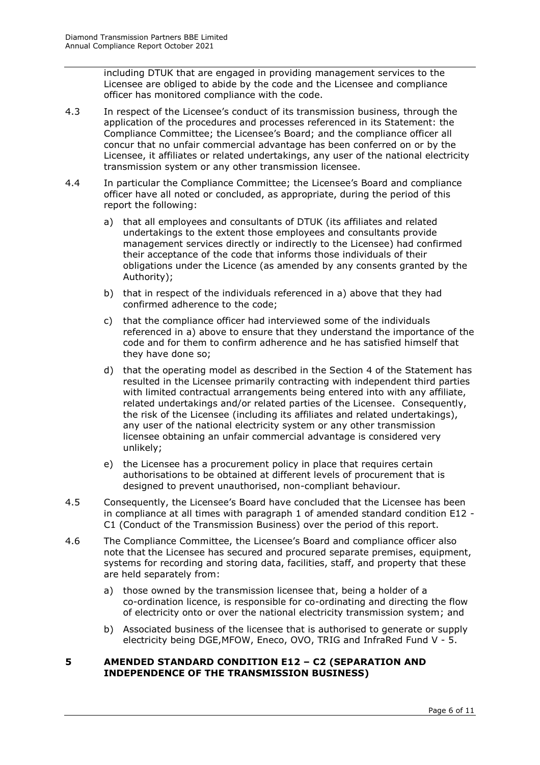including DTUK that are engaged in providing management services to the Licensee are obliged to abide by the code and the Licensee and compliance officer has monitored compliance with the code.

- 4.3 In respect of the Licensee's conduct of its transmission business, through the application of the procedures and processes referenced in its Statement: the Compliance Committee; the Licensee's Board; and the compliance officer all concur that no unfair commercial advantage has been conferred on or by the Licensee, it affiliates or related undertakings, any user of the national electricity transmission system or any other transmission licensee.
- 4.4 In particular the Compliance Committee; the Licensee's Board and compliance officer have all noted or concluded, as appropriate, during the period of this report the following:
	- a) that all employees and consultants of DTUK (its affiliates and related undertakings to the extent those employees and consultants provide management services directly or indirectly to the Licensee) had confirmed their acceptance of the code that informs those individuals of their obligations under the Licence (as amended by any consents granted by the Authority);
	- b) that in respect of the individuals referenced in a) above that they had confirmed adherence to the code;
	- c) that the compliance officer had interviewed some of the individuals referenced in a) above to ensure that they understand the importance of the code and for them to confirm adherence and he has satisfied himself that they have done so;
	- d) that the operating model as described in the Section 4 of the Statement has resulted in the Licensee primarily contracting with independent third parties with limited contractual arrangements being entered into with any affiliate, related undertakings and/or related parties of the Licensee. Consequently, the risk of the Licensee (including its affiliates and related undertakings), any user of the national electricity system or any other transmission licensee obtaining an unfair commercial advantage is considered very unlikely;
	- e) the Licensee has a procurement policy in place that requires certain authorisations to be obtained at different levels of procurement that is designed to prevent unauthorised, non-compliant behaviour.
- 4.5 Consequently, the Licensee's Board have concluded that the Licensee has been in compliance at all times with paragraph 1 of amended standard condition E12 - C1 (Conduct of the Transmission Business) over the period of this report.
- 4.6 The Compliance Committee, the Licensee's Board and compliance officer also note that the Licensee has secured and procured separate premises, equipment, systems for recording and storing data, facilities, staff, and property that these are held separately from:
	- a) those owned by the transmission licensee that, being a holder of a co-ordination licence, is responsible for co-ordinating and directing the flow of electricity onto or over the national electricity transmission system; and
	- b) Associated business of the licensee that is authorised to generate or supply electricity being DGE,MFOW, Eneco, OVO, TRIG and InfraRed Fund V - 5.

# <span id="page-5-0"></span>**5 AMENDED STANDARD CONDITION E12 – C2 (SEPARATION AND INDEPENDENCE OF THE TRANSMISSION BUSINESS)**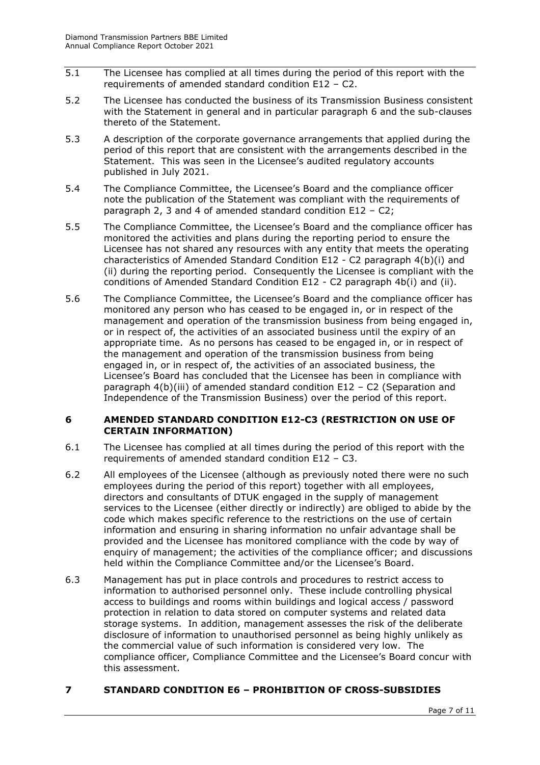- 5.1 The Licensee has complied at all times during the period of this report with the requirements of amended standard condition E12 – C2.
- 5.2 The Licensee has conducted the business of its Transmission Business consistent with the Statement in general and in particular paragraph 6 and the sub-clauses thereto of the Statement.
- 5.3 A description of the corporate governance arrangements that applied during the period of this report that are consistent with the arrangements described in the Statement. This was seen in the Licensee's audited regulatory accounts published in July 2021.
- 5.4 The Compliance Committee, the Licensee's Board and the compliance officer note the publication of the Statement was compliant with the requirements of paragraph 2, 3 and 4 of amended standard condition E12 – C2;
- 5.5 The Compliance Committee, the Licensee's Board and the compliance officer has monitored the activities and plans during the reporting period to ensure the Licensee has not shared any resources with any entity that meets the operating characteristics of Amended Standard Condition E12 - C2 paragraph 4(b)(i) and (ii) during the reporting period. Consequently the Licensee is compliant with the conditions of Amended Standard Condition E12 - C2 paragraph 4b(i) and (ii).
- 5.6 The Compliance Committee, the Licensee's Board and the compliance officer has monitored any person who has ceased to be engaged in, or in respect of the management and operation of the transmission business from being engaged in, or in respect of, the activities of an associated business until the expiry of an appropriate time. As no persons has ceased to be engaged in, or in respect of the management and operation of the transmission business from being engaged in, or in respect of, the activities of an associated business, the Licensee's Board has concluded that the Licensee has been in compliance with paragraph 4(b)(iii) of amended standard condition E12 – C2 (Separation and Independence of the Transmission Business) over the period of this report.

## <span id="page-6-0"></span>**6 AMENDED STANDARD CONDITION E12-C3 (RESTRICTION ON USE OF CERTAIN INFORMATION)**

- 6.1 The Licensee has complied at all times during the period of this report with the requirements of amended standard condition E12 – C3.
- 6.2 All employees of the Licensee (although as previously noted there were no such employees during the period of this report) together with all employees, directors and consultants of DTUK engaged in the supply of management services to the Licensee (either directly or indirectly) are obliged to abide by the code which makes specific reference to the restrictions on the use of certain information and ensuring in sharing information no unfair advantage shall be provided and the Licensee has monitored compliance with the code by way of enquiry of management; the activities of the compliance officer; and discussions held within the Compliance Committee and/or the Licensee's Board.
- 6.3 Management has put in place controls and procedures to restrict access to information to authorised personnel only. These include controlling physical access to buildings and rooms within buildings and logical access / password protection in relation to data stored on computer systems and related data storage systems. In addition, management assesses the risk of the deliberate disclosure of information to unauthorised personnel as being highly unlikely as the commercial value of such information is considered very low. The compliance officer, Compliance Committee and the Licensee's Board concur with this assessment.

# <span id="page-6-1"></span>**7 STANDARD CONDITION E6 – PROHIBITION OF CROSS-SUBSIDIES**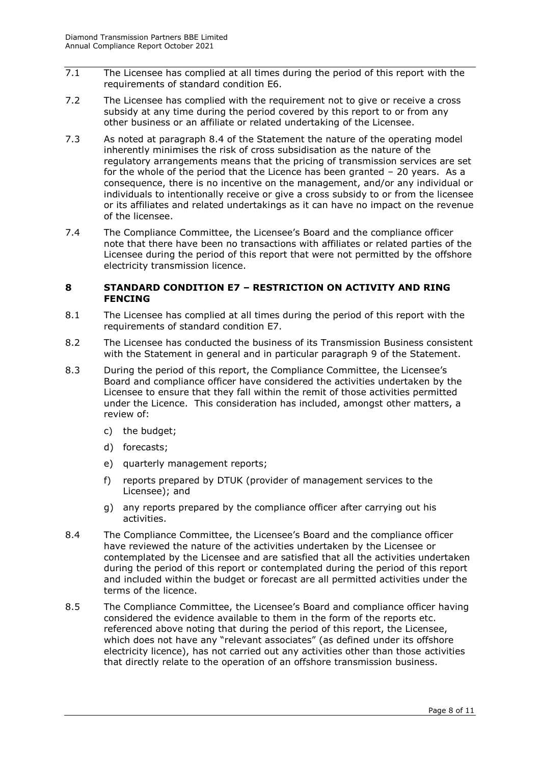- 7.1 The Licensee has complied at all times during the period of this report with the requirements of standard condition E6.
- 7.2 The Licensee has complied with the requirement not to give or receive a cross subsidy at any time during the period covered by this report to or from any other business or an affiliate or related undertaking of the Licensee.
- 7.3 As noted at paragraph 8.4 of the Statement the nature of the operating model inherently minimises the risk of cross subsidisation as the nature of the regulatory arrangements means that the pricing of transmission services are set for the whole of the period that the Licence has been granted – 20 years. As a consequence, there is no incentive on the management, and/or any individual or individuals to intentionally receive or give a cross subsidy to or from the licensee or its affiliates and related undertakings as it can have no impact on the revenue of the licensee.
- 7.4 The Compliance Committee, the Licensee's Board and the compliance officer note that there have been no transactions with affiliates or related parties of the Licensee during the period of this report that were not permitted by the offshore electricity transmission licence.

#### <span id="page-7-0"></span>**8 STANDARD CONDITION E7 – RESTRICTION ON ACTIVITY AND RING FENCING**

- 8.1 The Licensee has complied at all times during the period of this report with the requirements of standard condition E7.
- 8.2 The Licensee has conducted the business of its Transmission Business consistent with the Statement in general and in particular paragraph 9 of the Statement.
- 8.3 During the period of this report, the Compliance Committee, the Licensee's Board and compliance officer have considered the activities undertaken by the Licensee to ensure that they fall within the remit of those activities permitted under the Licence. This consideration has included, amongst other matters, a review of:
	- c) the budget;
	- d) forecasts;
	- e) quarterly management reports;
	- f) reports prepared by DTUK (provider of management services to the Licensee); and
	- g) any reports prepared by the compliance officer after carrying out his activities.
- 8.4 The Compliance Committee, the Licensee's Board and the compliance officer have reviewed the nature of the activities undertaken by the Licensee or contemplated by the Licensee and are satisfied that all the activities undertaken during the period of this report or contemplated during the period of this report and included within the budget or forecast are all permitted activities under the terms of the licence.
- 8.5 The Compliance Committee, the Licensee's Board and compliance officer having considered the evidence available to them in the form of the reports etc. referenced above noting that during the period of this report, the Licensee, which does not have any "relevant associates" (as defined under its offshore electricity licence), has not carried out any activities other than those activities that directly relate to the operation of an offshore transmission business.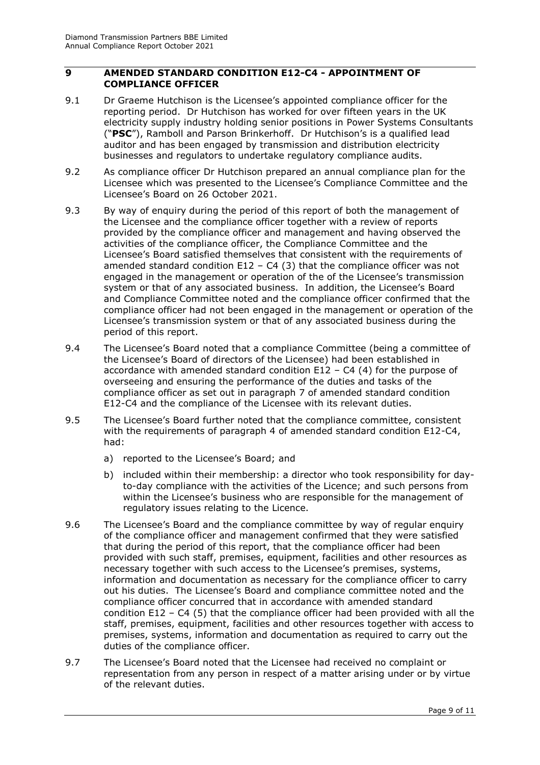## <span id="page-8-0"></span>**9 AMENDED STANDARD CONDITION E12-C4 - APPOINTMENT OF COMPLIANCE OFFICER**

- 9.1 Dr Graeme Hutchison is the Licensee's appointed compliance officer for the reporting period. Dr Hutchison has worked for over fifteen years in the UK electricity supply industry holding senior positions in Power Systems Consultants ("**PSC**"), Ramboll and Parson Brinkerhoff. Dr Hutchison's is a qualified lead auditor and has been engaged by transmission and distribution electricity businesses and regulators to undertake regulatory compliance audits.
- 9.2 As compliance officer Dr Hutchison prepared an annual compliance plan for the Licensee which was presented to the Licensee's Compliance Committee and the Licensee's Board on 26 October 2021.
- 9.3 By way of enquiry during the period of this report of both the management of the Licensee and the compliance officer together with a review of reports provided by the compliance officer and management and having observed the activities of the compliance officer, the Compliance Committee and the Licensee's Board satisfied themselves that consistent with the requirements of amended standard condition E12 - C4 (3) that the compliance officer was not engaged in the management or operation of the of the Licensee's transmission system or that of any associated business. In addition, the Licensee's Board and Compliance Committee noted and the compliance officer confirmed that the compliance officer had not been engaged in the management or operation of the Licensee's transmission system or that of any associated business during the period of this report.
- 9.4 The Licensee's Board noted that a compliance Committee (being a committee of the Licensee's Board of directors of the Licensee) had been established in accordance with amended standard condition  $E12 - C4$  (4) for the purpose of overseeing and ensuring the performance of the duties and tasks of the compliance officer as set out in paragraph 7 of amended standard condition E12-C4 and the compliance of the Licensee with its relevant duties.
- 9.5 The Licensee's Board further noted that the compliance committee, consistent with the requirements of paragraph 4 of amended standard condition E12-C4, had:
	- a) reported to the Licensee's Board; and
	- b) included within their membership: a director who took responsibility for dayto-day compliance with the activities of the Licence; and such persons from within the Licensee's business who are responsible for the management of regulatory issues relating to the Licence.
- 9.6 The Licensee's Board and the compliance committee by way of regular enquiry of the compliance officer and management confirmed that they were satisfied that during the period of this report, that the compliance officer had been provided with such staff, premises, equipment, facilities and other resources as necessary together with such access to the Licensee's premises, systems, information and documentation as necessary for the compliance officer to carry out his duties. The Licensee's Board and compliance committee noted and the compliance officer concurred that in accordance with amended standard condition E12 – C4 (5) that the compliance officer had been provided with all the staff, premises, equipment, facilities and other resources together with access to premises, systems, information and documentation as required to carry out the duties of the compliance officer.
- 9.7 The Licensee's Board noted that the Licensee had received no complaint or representation from any person in respect of a matter arising under or by virtue of the relevant duties.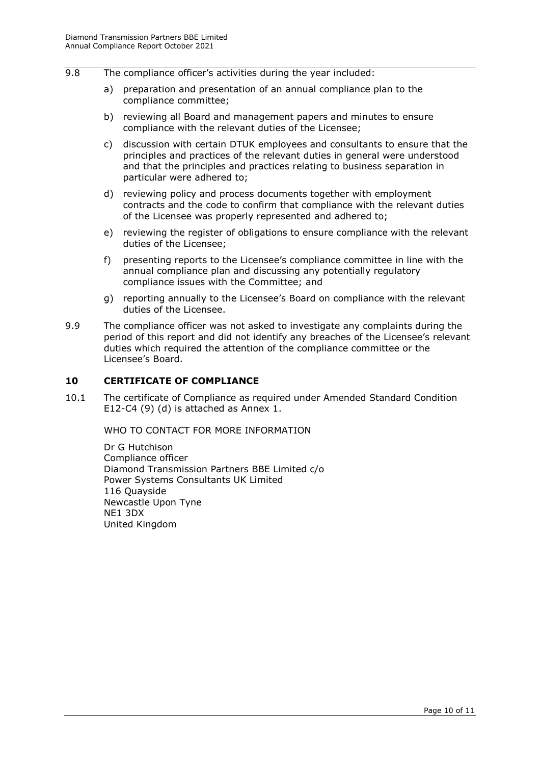- 9.8 The compliance officer's activities during the year included:
	- a) preparation and presentation of an annual compliance plan to the compliance committee;
	- b) reviewing all Board and management papers and minutes to ensure compliance with the relevant duties of the Licensee;
	- c) discussion with certain DTUK employees and consultants to ensure that the principles and practices of the relevant duties in general were understood and that the principles and practices relating to business separation in particular were adhered to;
	- d) reviewing policy and process documents together with employment contracts and the code to confirm that compliance with the relevant duties of the Licensee was properly represented and adhered to;
	- e) reviewing the register of obligations to ensure compliance with the relevant duties of the Licensee;
	- f) presenting reports to the Licensee's compliance committee in line with the annual compliance plan and discussing any potentially regulatory compliance issues with the Committee; and
	- g) reporting annually to the Licensee's Board on compliance with the relevant duties of the Licensee.
- 9.9 The compliance officer was not asked to investigate any complaints during the period of this report and did not identify any breaches of the Licensee's relevant duties which required the attention of the compliance committee or the Licensee's Board.

#### <span id="page-9-0"></span>**10 CERTIFICATE OF COMPLIANCE**

<span id="page-9-1"></span>10.1 The certificate of Compliance as required under Amended Standard Condition E12-C4 (9) (d) is attached as Annex 1.

WHO TO CONTACT FOR MORE INFORMATION

Dr G Hutchison Compliance officer Diamond Transmission Partners BBE Limited c/o Power Systems Consultants UK Limited 116 Quayside Newcastle Upon Tyne NE1 3DX United Kingdom